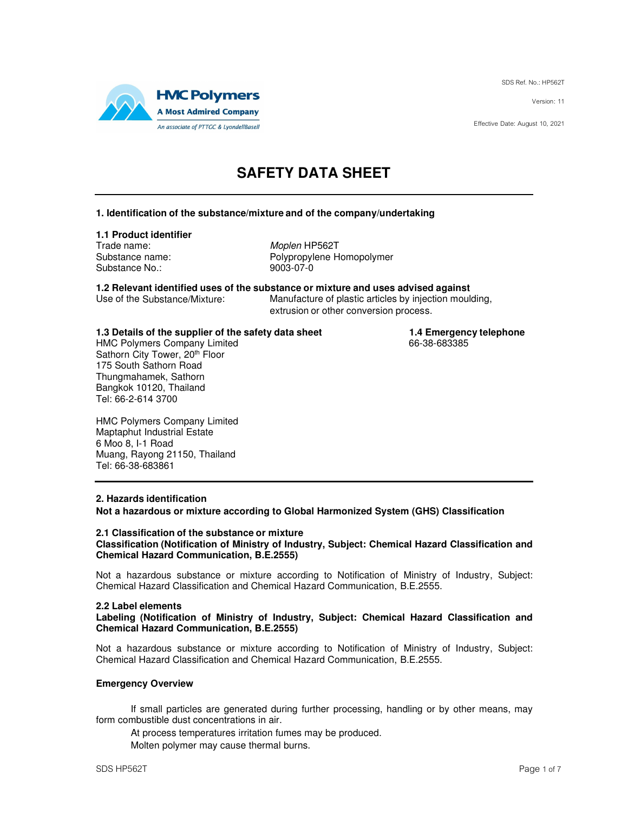SDS Ref. No.: HP562T

Version: 11

Effective Date: August 10, 2021



# **SAFETY DATA SHEET**

### **1. Identification of the substance/mixture and of the company/undertaking**

### **1.1 Product identifier**

Trade name: Moplen HP562T Substance No.: 9003-07-0

Substance name: Polypropylene Homopolymer

**1.2 Relevant identified uses of the substance or mixture and uses advised against** Manufacture of plastic articles by injection moulding,

extrusion or other conversion process.

# **1.3 Details of the supplier of the safety data sheet 1.4 Emergency telephone**<br>HMC Polymers Company Limited **1.4 Emergency telephone**

HMC Polymers Company Limited Sathorn City Tower, 20th Floor 175 South Sathorn Road Thungmahamek, Sathorn Bangkok 10120, Thailand Tel: 66-2-614 3700

HMC Polymers Company Limited Maptaphut Industrial Estate 6 Moo 8, I-1 Road Muang, Rayong 21150, Thailand Tel: 66-38-683861

### **2. Hazards identification**

**Not a hazardous or mixture according to Global Harmonized System (GHS) Classification** 

#### **2.1 Classification of the substance or mixture Classification (Notification of Ministry of Industry, Subject: Chemical Hazard Classification and Chemical Hazard Communication, B.E.2555)**

Not a hazardous substance or mixture according to Notification of Ministry of Industry, Subject: Chemical Hazard Classification and Chemical Hazard Communication, B.E.2555.

### **2.2 Label elements**

**Labeling (Notification of Ministry of Industry, Subject: Chemical Hazard Classification and Chemical Hazard Communication, B.E.2555)** 

Not a hazardous substance or mixture according to Notification of Ministry of Industry, Subject: Chemical Hazard Classification and Chemical Hazard Communication, B.E.2555.

### **Emergency Overview**

If small particles are generated during further processing, handling or by other means, may form combustible dust concentrations in air.

At process temperatures irritation fumes may be produced.

Molten polymer may cause thermal burns.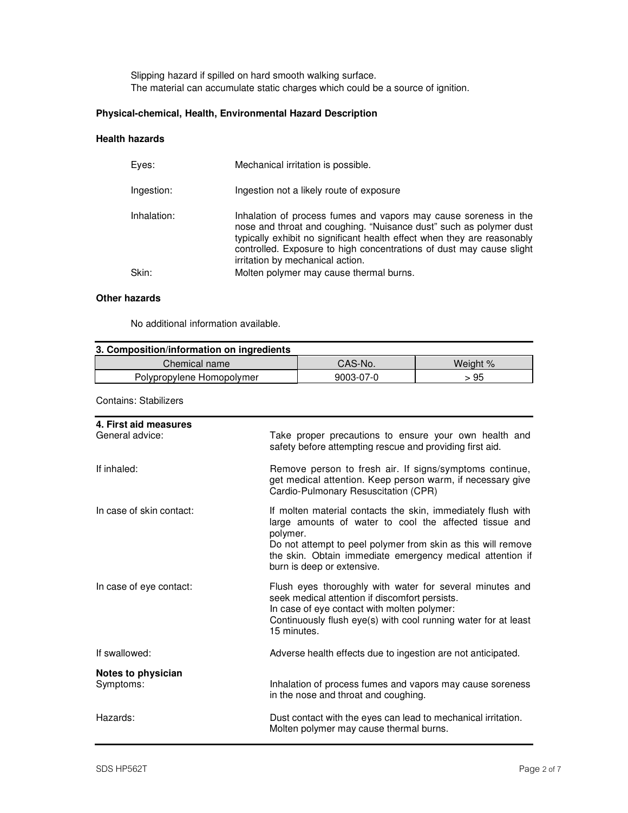Slipping hazard if spilled on hard smooth walking surface. The material can accumulate static charges which could be a source of ignition.

### **Physical-chemical, Health, Environmental Hazard Description**

### **Health hazards**

| Eves:       | Mechanical irritation is possible.                                                                                                                                                                                                                                                                                            |
|-------------|-------------------------------------------------------------------------------------------------------------------------------------------------------------------------------------------------------------------------------------------------------------------------------------------------------------------------------|
| Ingestion:  | Ingestion not a likely route of exposure                                                                                                                                                                                                                                                                                      |
| Inhalation: | Inhalation of process fumes and vapors may cause soreness in the<br>nose and throat and coughing. "Nuisance dust" such as polymer dust<br>typically exhibit no significant health effect when they are reasonably<br>controlled. Exposure to high concentrations of dust may cause slight<br>irritation by mechanical action. |
| Skin:       | Molten polymer may cause thermal burns.                                                                                                                                                                                                                                                                                       |
|             |                                                                                                                                                                                                                                                                                                                               |

### **Other hazards**

No additional information available.

| 3. Composition/information on ingredients |           |          |  |
|-------------------------------------------|-----------|----------|--|
| Chemical name                             | CAS-No.   | Weight % |  |
| Polypropylene Homopolymer                 | 9003-07-0 | > 95     |  |

Contains: Stabilizers

| 4. First aid measures<br>General advice: | Take proper precautions to ensure your own health and<br>safety before attempting rescue and providing first aid.                                                                                                                                                                             |
|------------------------------------------|-----------------------------------------------------------------------------------------------------------------------------------------------------------------------------------------------------------------------------------------------------------------------------------------------|
| If inhaled:                              | Remove person to fresh air. If signs/symptoms continue,<br>get medical attention. Keep person warm, if necessary give<br>Cardio-Pulmonary Resuscitation (CPR)                                                                                                                                 |
| In case of skin contact:                 | If molten material contacts the skin, immediately flush with<br>large amounts of water to cool the affected tissue and<br>polymer.<br>Do not attempt to peel polymer from skin as this will remove<br>the skin. Obtain immediate emergency medical attention if<br>burn is deep or extensive. |
| In case of eye contact:                  | Flush eyes thoroughly with water for several minutes and<br>seek medical attention if discomfort persists.<br>In case of eye contact with molten polymer:<br>Continuously flush eye(s) with cool running water for at least<br>15 minutes.                                                    |
| If swallowed:                            | Adverse health effects due to ingestion are not anticipated.                                                                                                                                                                                                                                  |
| Notes to physician<br>Symptoms:          | Inhalation of process fumes and vapors may cause soreness<br>in the nose and throat and coughing.                                                                                                                                                                                             |
| Hazards:                                 | Dust contact with the eyes can lead to mechanical irritation.<br>Molten polymer may cause thermal burns.                                                                                                                                                                                      |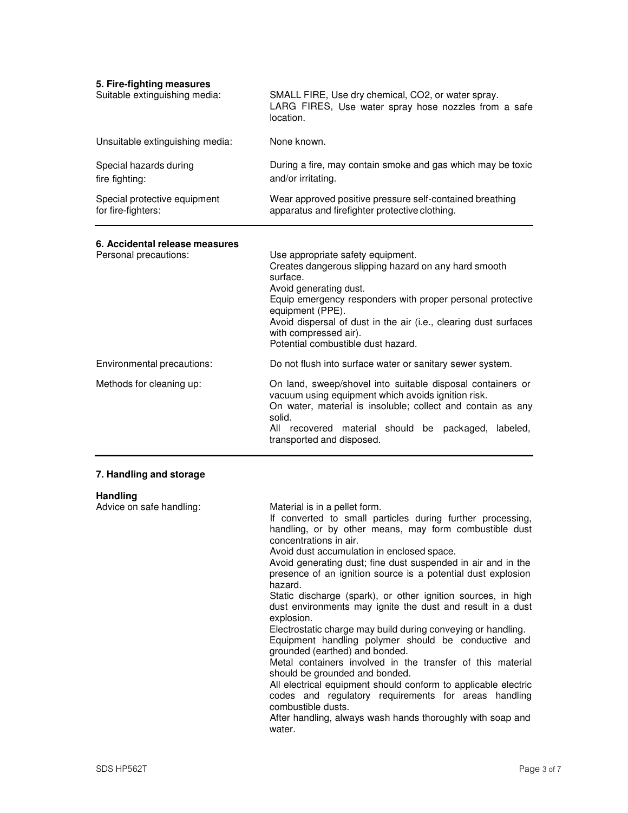| 5. Fire-fighting measures<br>Suitable extinguishing media: | SMALL FIRE, Use dry chemical, CO2, or water spray.<br>LARG FIRES, Use water spray hose nozzles from a safe<br>location.                                                                                                                                                                                                                                                                                                                                                                                                                                                                                                                                                                                                                                                       |
|------------------------------------------------------------|-------------------------------------------------------------------------------------------------------------------------------------------------------------------------------------------------------------------------------------------------------------------------------------------------------------------------------------------------------------------------------------------------------------------------------------------------------------------------------------------------------------------------------------------------------------------------------------------------------------------------------------------------------------------------------------------------------------------------------------------------------------------------------|
| Unsuitable extinguishing media:                            | None known.                                                                                                                                                                                                                                                                                                                                                                                                                                                                                                                                                                                                                                                                                                                                                                   |
| Special hazards during<br>fire fighting:                   | During a fire, may contain smoke and gas which may be toxic<br>and/or irritating.                                                                                                                                                                                                                                                                                                                                                                                                                                                                                                                                                                                                                                                                                             |
| Special protective equipment<br>for fire-fighters:         | Wear approved positive pressure self-contained breathing<br>apparatus and firefighter protective clothing.                                                                                                                                                                                                                                                                                                                                                                                                                                                                                                                                                                                                                                                                    |
| 6. Accidental release measures<br>Personal precautions:    | Use appropriate safety equipment.<br>Creates dangerous slipping hazard on any hard smooth<br>surface.<br>Avoid generating dust.<br>Equip emergency responders with proper personal protective<br>equipment (PPE).<br>Avoid dispersal of dust in the air (i.e., clearing dust surfaces<br>with compressed air).<br>Potential combustible dust hazard.                                                                                                                                                                                                                                                                                                                                                                                                                          |
| Environmental precautions:                                 | Do not flush into surface water or sanitary sewer system.                                                                                                                                                                                                                                                                                                                                                                                                                                                                                                                                                                                                                                                                                                                     |
| Methods for cleaning up:                                   | On land, sweep/shovel into suitable disposal containers or<br>vacuum using equipment which avoids ignition risk.<br>On water, material is insoluble; collect and contain as any<br>solid.<br>All recovered material should be packaged,<br>labeled,<br>transported and disposed.                                                                                                                                                                                                                                                                                                                                                                                                                                                                                              |
| 7. Handling and storage                                    |                                                                                                                                                                                                                                                                                                                                                                                                                                                                                                                                                                                                                                                                                                                                                                               |
| <b>Handling</b><br>Advice on safe handling:                | Material is in a pellet form.<br>If converted to small particles during further processing,<br>handling, or by other means, may form combustible dust<br>concentrations in air.<br>Avoid dust accumulation in enclosed space.<br>Avoid generating dust; fine dust suspended in air and in the<br>presence of an ignition source is a potential dust explosion<br>hazard.<br>Static discharge (spark), or other ignition sources, in high<br>dust environments may ignite the dust and result in a dust<br>explosion.<br>Electrostatic charge may build during conveying or handling.<br>Equipment handling polymer should be conductive and<br>grounded (earthed) and bonded.<br>Metal containers involved in the transfer of this material<br>should be grounded and bonded. |

All electrical equipment should conform to applicable electric codes and regulatory requirements for areas handling combustible dusts.

After handling, always wash hands thoroughly with soap and water.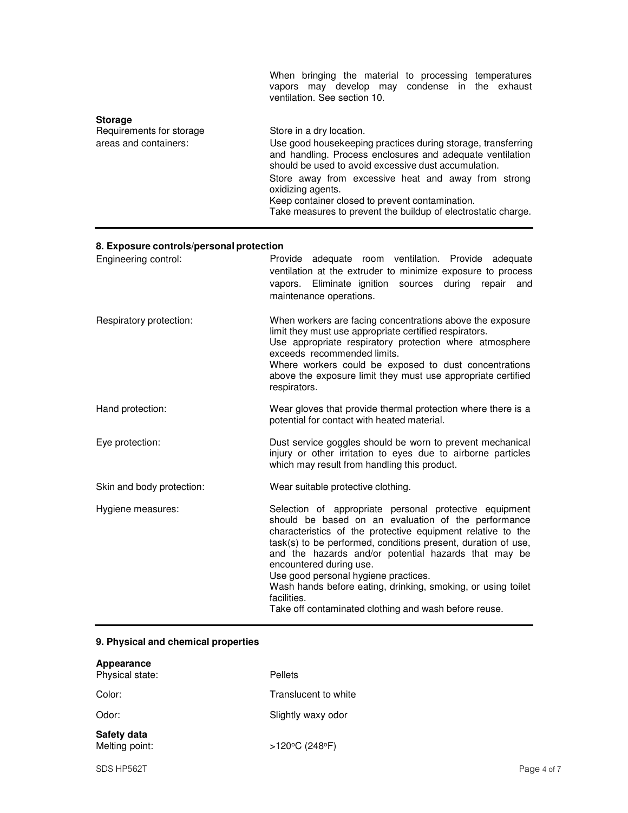|                                                                     | When bringing the material to processing temperatures<br>vapors may develop may condense in the exhaust<br>ventilation. See section 10.                                                                                                                                                                                                                                                                       |
|---------------------------------------------------------------------|---------------------------------------------------------------------------------------------------------------------------------------------------------------------------------------------------------------------------------------------------------------------------------------------------------------------------------------------------------------------------------------------------------------|
| <b>Storage</b><br>Requirements for storage<br>areas and containers: | Store in a dry location.<br>Use good housekeeping practices during storage, transferring<br>and handling. Process enclosures and adequate ventilation<br>should be used to avoid excessive dust accumulation.<br>Store away from excessive heat and away from strong<br>oxidizing agents.<br>Keep container closed to prevent contamination.<br>Take measures to prevent the buildup of electrostatic charge. |

## **8. Exposure controls/personal protection**

| Engineering control:      | Provide adequate room ventilation. Provide adequate<br>ventilation at the extruder to minimize exposure to process<br>vapors. Eliminate ignition sources during<br>repair<br>and<br>maintenance operations.                                                                                                                                                                                                                                                                                                      |
|---------------------------|------------------------------------------------------------------------------------------------------------------------------------------------------------------------------------------------------------------------------------------------------------------------------------------------------------------------------------------------------------------------------------------------------------------------------------------------------------------------------------------------------------------|
| Respiratory protection:   | When workers are facing concentrations above the exposure<br>limit they must use appropriate certified respirators.<br>Use appropriate respiratory protection where atmosphere<br>exceeds recommended limits.<br>Where workers could be exposed to dust concentrations<br>above the exposure limit they must use appropriate certified<br>respirators.                                                                                                                                                           |
| Hand protection:          | Wear gloves that provide thermal protection where there is a<br>potential for contact with heated material.                                                                                                                                                                                                                                                                                                                                                                                                      |
| Eye protection:           | Dust service goggles should be worn to prevent mechanical<br>injury or other irritation to eyes due to airborne particles<br>which may result from handling this product.                                                                                                                                                                                                                                                                                                                                        |
| Skin and body protection: | Wear suitable protective clothing.                                                                                                                                                                                                                                                                                                                                                                                                                                                                               |
| Hygiene measures:         | Selection of appropriate personal protective equipment<br>should be based on an evaluation of the performance<br>characteristics of the protective equipment relative to the<br>task(s) to be performed, conditions present, duration of use,<br>and the hazards and/or potential hazards that may be<br>encountered during use.<br>Use good personal hygiene practices.<br>Wash hands before eating, drinking, smoking, or using toilet<br>facilities.<br>Take off contaminated clothing and wash before reuse. |

## **9. Physical and chemical properties**

| Appearance<br>Physical state: | Pellets              |
|-------------------------------|----------------------|
| Color:                        | Translucent to white |
| Odor:                         | Slightly waxy odor   |
| Safety data<br>Melting point: | >120°C (248°F)       |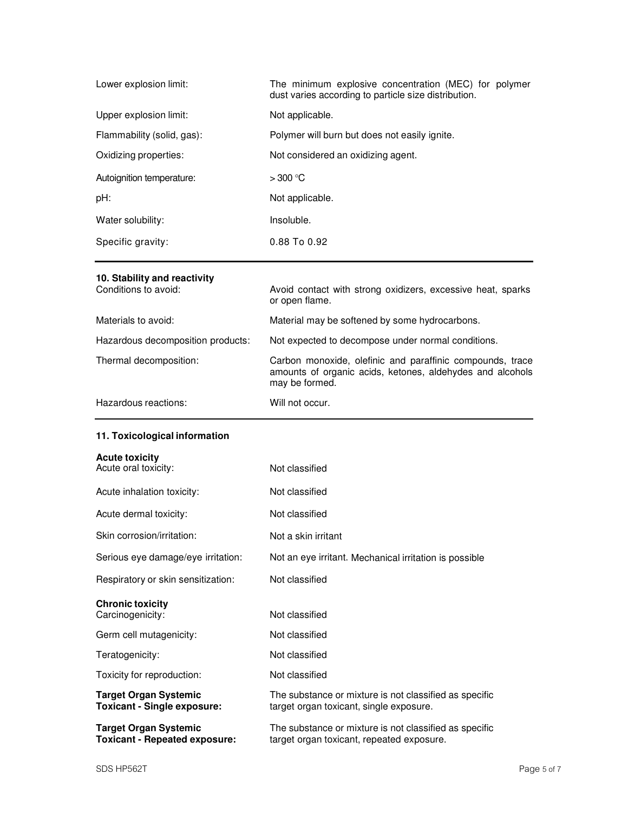| Lower explosion limit:     | The minimum explosive concentration (MEC) for polymer<br>dust varies according to particle size distribution. |
|----------------------------|---------------------------------------------------------------------------------------------------------------|
| Upper explosion limit:     | Not applicable.                                                                                               |
| Flammability (solid, gas): | Polymer will burn but does not easily ignite.                                                                 |
| Oxidizing properties:      | Not considered an oxidizing agent.                                                                            |
| Autoignition temperature:  | $>300^{\circ}$ C                                                                                              |
| pH:                        | Not applicable.                                                                                               |
| Water solubility:          | Insoluble.                                                                                                    |
| Specific gravity:          | 0.88 To 0.92                                                                                                  |

## **10. Stability and reactivity**

| Conditions to avoid:              | Avoid contact with strong oxidizers, excessive heat, sparks<br>or open flame.                                                            |
|-----------------------------------|------------------------------------------------------------------------------------------------------------------------------------------|
| Materials to avoid:               | Material may be softened by some hydrocarbons.                                                                                           |
| Hazardous decomposition products: | Not expected to decompose under normal conditions.                                                                                       |
| Thermal decomposition:            | Carbon monoxide, olefinic and paraffinic compounds, trace<br>amounts of organic acids, ketones, aldehydes and alcohols<br>may be formed. |
| Hazardous reactions:              | Will not occur.                                                                                                                          |

## **11. Toxicological information**

### **Acute toxicity**

| Acute oral toxicity:                                                 | Not classified                                                                                      |
|----------------------------------------------------------------------|-----------------------------------------------------------------------------------------------------|
| Acute inhalation toxicity:                                           | Not classified                                                                                      |
| Acute dermal toxicity:                                               | Not classified                                                                                      |
| Skin corrosion/irritation:                                           | Not a skin irritant                                                                                 |
| Serious eye damage/eye irritation:                                   | Not an eye irritant. Mechanical irritation is possible                                              |
| Respiratory or skin sensitization:                                   | Not classified                                                                                      |
| <b>Chronic toxicity</b><br>Carcinogenicity:                          | Not classified                                                                                      |
| Germ cell mutagenicity:                                              | Not classified                                                                                      |
| Teratogenicity:                                                      | Not classified                                                                                      |
| Toxicity for reproduction:                                           | Not classified                                                                                      |
| <b>Target Organ Systemic</b><br><b>Toxicant - Single exposure:</b>   | The substance or mixture is not classified as specific<br>target organ toxicant, single exposure.   |
| <b>Target Organ Systemic</b><br><b>Toxicant - Repeated exposure:</b> | The substance or mixture is not classified as specific<br>target organ toxicant, repeated exposure. |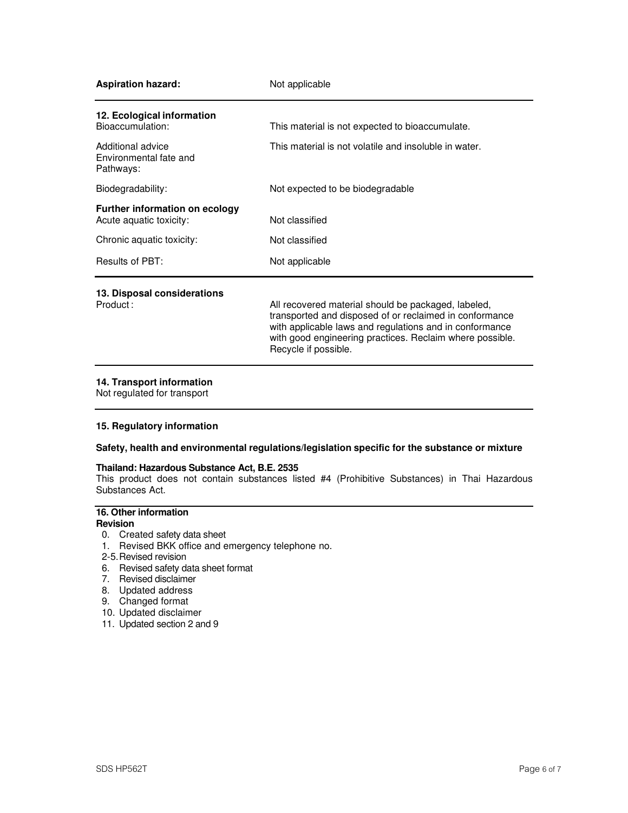| <b>Aspiration hazard:</b>                                        | Not applicable                                                                                                                                                                                                                                                |  |
|------------------------------------------------------------------|---------------------------------------------------------------------------------------------------------------------------------------------------------------------------------------------------------------------------------------------------------------|--|
| 12. Ecological information<br>Bioaccumulation:                   | This material is not expected to bioaccumulate.                                                                                                                                                                                                               |  |
| Additional advice<br>Environmental fate and<br>Pathways:         | This material is not volatile and insoluble in water.                                                                                                                                                                                                         |  |
| Biodegradability:                                                | Not expected to be biodegradable                                                                                                                                                                                                                              |  |
| <b>Further information on ecology</b><br>Acute aquatic toxicity: | Not classified                                                                                                                                                                                                                                                |  |
| Chronic aquatic toxicity:                                        | Not classified                                                                                                                                                                                                                                                |  |
| Results of PBT:                                                  | Not applicable                                                                                                                                                                                                                                                |  |
| 13. Disposal considerations<br>Product:                          | All recovered material should be packaged, labeled,<br>transported and disposed of or reclaimed in conformance<br>with applicable laws and regulations and in conformance<br>with good engineering practices. Reclaim where possible.<br>Recycle if possible. |  |

### **14. Transport information**

Not regulated for transport

### **15. Regulatory information**

### **Safety, health and environmental regulations/legislation specific for the substance or mixture**

#### **Thailand: Hazardous Substance Act, B.E. 2535**

This product does not contain substances listed #4 (Prohibitive Substances) in Thai Hazardous Substances Act.

## **16. Other information**

- **Revision**
- 0. Created safety data sheet
- 1. Revised BKK office and emergency telephone no.
- 2-5. Revised revision
- 6. Revised safety data sheet format
- 7. Revised disclaimer
- 8. Updated address
- 9. Changed format
- 10. Updated disclaimer
- 11. Updated section 2 and 9